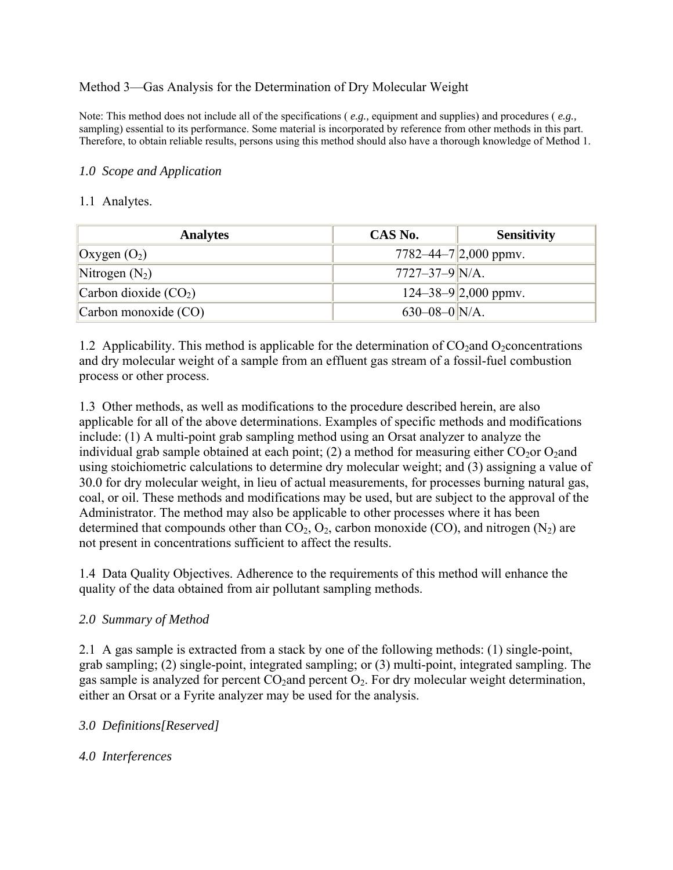## Method 3—Gas Analysis for the Determination of Dry Molecular Weight

Note: This method does not include all of the specifications (*e.g., equipment and supplies*) and procedures (*e.g.,* sampling) essential to its performance. Some material is incorporated by reference from other methods in this part. Therefore, to obtain reliable results, persons using this method should also have a thorough knowledge of Method 1.

#### *1.0 Scope and Application*

#### 1.1 Analytes.

| <b>Analytes</b>        | CAS No.              | <b>Sensitivity</b>              |
|------------------------|----------------------|---------------------------------|
| Oxygen $(O_2)$         |                      | 7782–44–7 $ 2,000$ ppmv.        |
| Nitrogen $(N_2)$       | $7727 - 37 - 9$ N/A. |                                 |
| Carbon dioxide $(CO2)$ |                      | $124 - 38 - 9 \mid 2,000$ ppmv. |
| Carbon monoxide (CO)   | $630 - 08 - 0$ N/A.  |                                 |

1.2 Applicability. This method is applicable for the determination of  $CO_2$  and  $O_2$ concentrations and dry molecular weight of a sample from an effluent gas stream of a fossil-fuel combustion process or other process.

1.3 Other methods, as well as modifications to the procedure described herein, are also applicable for all of the above determinations. Examples of specific methods and modifications include: (1) A multi-point grab sampling method using an Orsat analyzer to analyze the individual grab sample obtained at each point; (2) a method for measuring either  $CO<sub>2</sub>$ or  $O<sub>2</sub>$ and using stoichiometric calculations to determine dry molecular weight; and (3) assigning a value of 30.0 for dry molecular weight, in lieu of actual measurements, for processes burning natural gas, coal, or oil. These methods and modifications may be used, but are subject to the approval of the Administrator. The method may also be applicable to other processes where it has been determined that compounds other than  $CO<sub>2</sub>$ ,  $O<sub>2</sub>$ , carbon monoxide (CO), and nitrogen (N<sub>2</sub>) are not present in concentrations sufficient to affect the results.

1.4 Data Quality Objectives. Adherence to the requirements of this method will enhance the quality of the data obtained from air pollutant sampling methods.

## *2.0 Summary of Method*

2.1 A gas sample is extracted from a stack by one of the following methods: (1) single-point, grab sampling; (2) single-point, integrated sampling; or (3) multi-point, integrated sampling. The gas sample is analyzed for percent  $CO_2$  and percent  $O_2$ . For dry molecular weight determination, either an Orsat or a Fyrite analyzer may be used for the analysis.

## *3.0 Definitions[Reserved]*

*4.0 Interferences*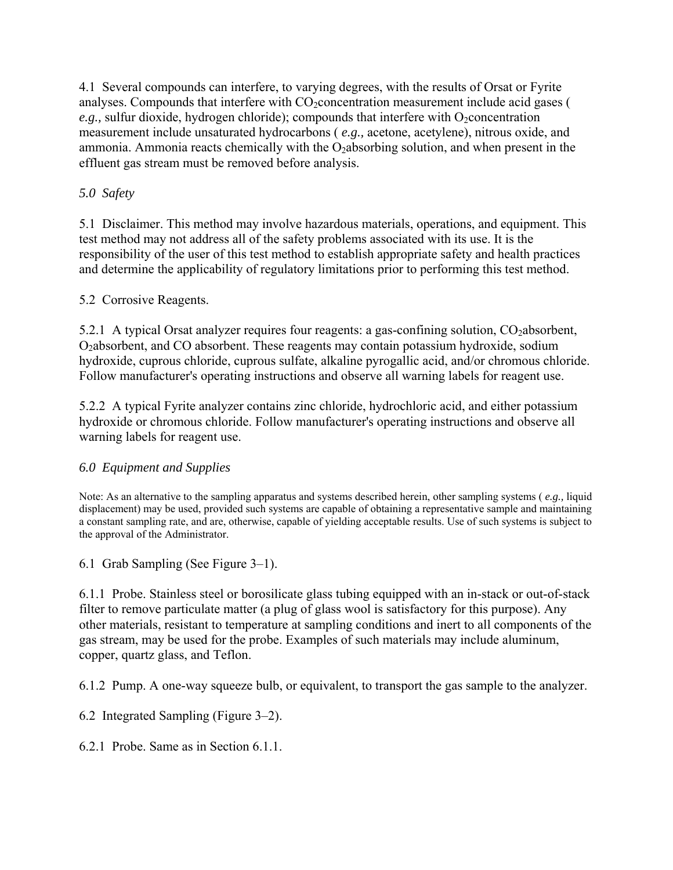4.1 Several compounds can interfere, to varying degrees, with the results of Orsat or Fyrite analyses. Compounds that interfere with  $CO_2$  concentration measurement include acid gases (  $e.g.,$  sulfur dioxide, hydrogen chloride); compounds that interfere with O<sub>2</sub>concentration measurement include unsaturated hydrocarbons ( *e.g.,* acetone, acetylene), nitrous oxide, and ammonia. Ammonia reacts chemically with the O<sub>2</sub>absorbing solution, and when present in the effluent gas stream must be removed before analysis.

## *5.0 Safety*

5.1 Disclaimer. This method may involve hazardous materials, operations, and equipment. This test method may not address all of the safety problems associated with its use. It is the responsibility of the user of this test method to establish appropriate safety and health practices and determine the applicability of regulatory limitations prior to performing this test method.

## 5.2 Corrosive Reagents.

5.2.1 A typical Orsat analyzer requires four reagents: a gas-confining solution,  $CO_2$ absorbent, O2absorbent, and CO absorbent. These reagents may contain potassium hydroxide, sodium hydroxide, cuprous chloride, cuprous sulfate, alkaline pyrogallic acid, and/or chromous chloride. Follow manufacturer's operating instructions and observe all warning labels for reagent use.

5.2.2 A typical Fyrite analyzer contains zinc chloride, hydrochloric acid, and either potassium hydroxide or chromous chloride. Follow manufacturer's operating instructions and observe all warning labels for reagent use.

## *6.0 Equipment and Supplies*

Note: As an alternative to the sampling apparatus and systems described herein, other sampling systems ( *e.g.,* liquid displacement) may be used, provided such systems are capable of obtaining a representative sample and maintaining a constant sampling rate, and are, otherwise, capable of yielding acceptable results. Use of such systems is subject to the approval of the Administrator.

6.1 Grab Sampling (See Figure 3–1).

6.1.1 Probe. Stainless steel or borosilicate glass tubing equipped with an in-stack or out-of-stack filter to remove particulate matter (a plug of glass wool is satisfactory for this purpose). Any other materials, resistant to temperature at sampling conditions and inert to all components of the gas stream, may be used for the probe. Examples of such materials may include aluminum, copper, quartz glass, and Teflon.

6.1.2 Pump. A one-way squeeze bulb, or equivalent, to transport the gas sample to the analyzer.

6.2 Integrated Sampling (Figure 3–2).

6.2.1 Probe. Same as in Section 6.1.1.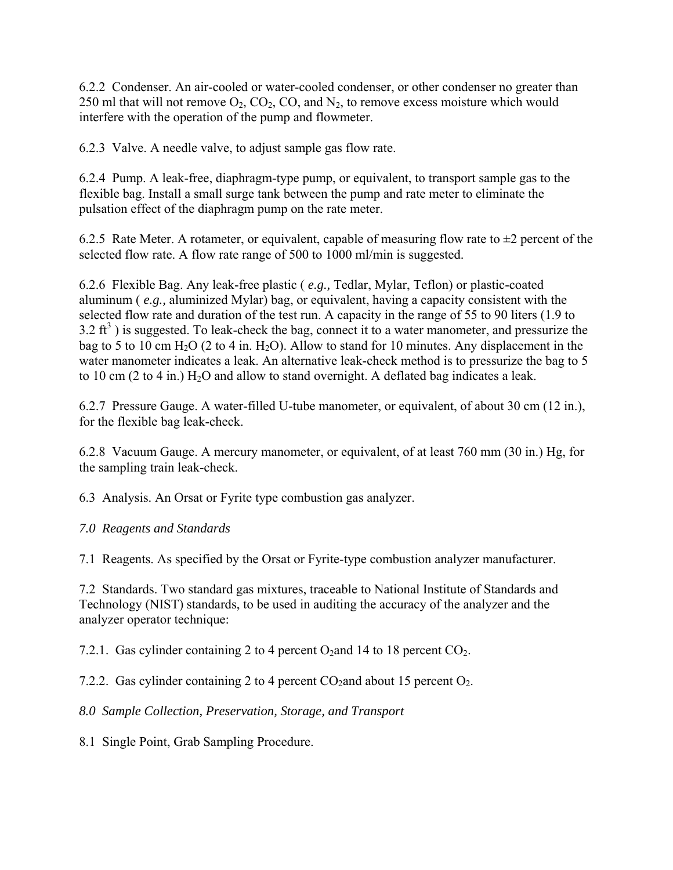6.2.2 Condenser. An air-cooled or water-cooled condenser, or other condenser no greater than 250 ml that will not remove  $O_2$ ,  $CO_2$ ,  $CO$ , and  $N_2$ , to remove excess moisture which would interfere with the operation of the pump and flowmeter.

6.2.3 Valve. A needle valve, to adjust sample gas flow rate.

6.2.4 Pump. A leak-free, diaphragm-type pump, or equivalent, to transport sample gas to the flexible bag. Install a small surge tank between the pump and rate meter to eliminate the pulsation effect of the diaphragm pump on the rate meter.

6.2.5 Rate Meter. A rotameter, or equivalent, capable of measuring flow rate to  $\pm 2$  percent of the selected flow rate. A flow rate range of 500 to 1000 ml/min is suggested.

6.2.6 Flexible Bag. Any leak-free plastic ( *e.g.,* Tedlar, Mylar, Teflon) or plastic-coated aluminum ( *e.g.,* aluminized Mylar) bag, or equivalent, having a capacity consistent with the selected flow rate and duration of the test run. A capacity in the range of 55 to 90 liters (1.9 to  $3.2 \text{ ft}^3$ ) is suggested. To leak-check the bag, connect it to a water manometer, and pressurize the bag to 5 to 10 cm  $H_2O$  (2 to 4 in.  $H_2O$ ). Allow to stand for 10 minutes. Any displacement in the water manometer indicates a leak. An alternative leak-check method is to pressurize the bag to 5 to 10 cm  $(2 \text{ to } 4 \text{ in.})$  H<sub>2</sub>O and allow to stand overnight. A deflated bag indicates a leak.

6.2.7 Pressure Gauge. A water-filled U-tube manometer, or equivalent, of about 30 cm (12 in.), for the flexible bag leak-check.

6.2.8 Vacuum Gauge. A mercury manometer, or equivalent, of at least 760 mm (30 in.) Hg, for the sampling train leak-check.

6.3 Analysis. An Orsat or Fyrite type combustion gas analyzer.

# *7.0 Reagents and Standards*

7.1 Reagents. As specified by the Orsat or Fyrite-type combustion analyzer manufacturer.

7.2 Standards. Two standard gas mixtures, traceable to National Institute of Standards and Technology (NIST) standards, to be used in auditing the accuracy of the analyzer and the analyzer operator technique:

7.2.1. Gas cylinder containing 2 to 4 percent  $O_2$  and 14 to 18 percent  $CO_2$ .

7.2.2. Gas cylinder containing 2 to 4 percent  $CO_2$  and about 15 percent  $O_2$ .

*8.0 Sample Collection, Preservation, Storage, and Transport*

8.1 Single Point, Grab Sampling Procedure.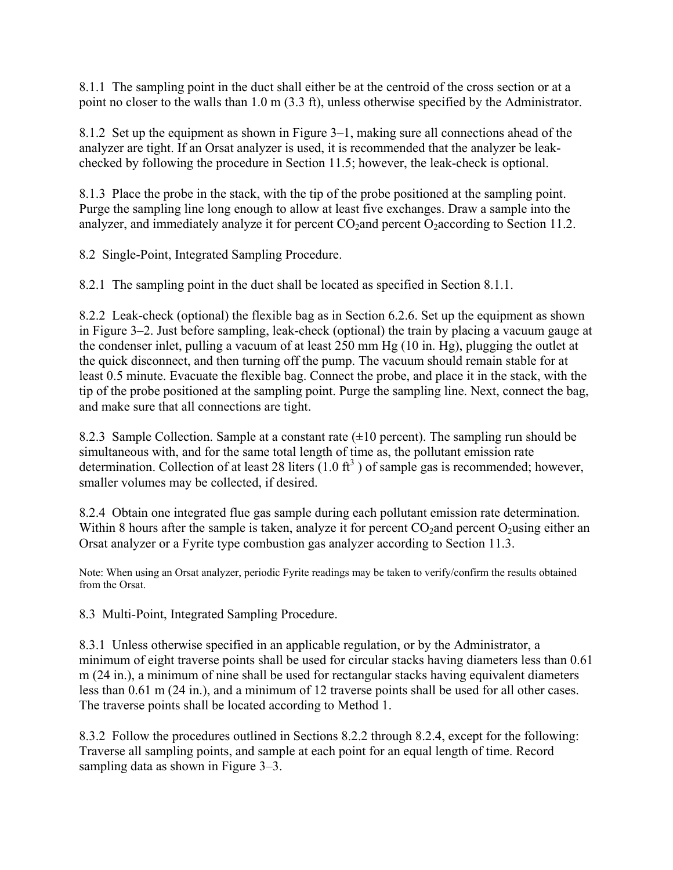8.1.1 The sampling point in the duct shall either be at the centroid of the cross section or at a point no closer to the walls than 1.0 m (3.3 ft), unless otherwise specified by the Administrator.

8.1.2 Set up the equipment as shown in Figure 3–1, making sure all connections ahead of the analyzer are tight. If an Orsat analyzer is used, it is recommended that the analyzer be leakchecked by following the procedure in Section 11.5; however, the leak-check is optional.

8.1.3 Place the probe in the stack, with the tip of the probe positioned at the sampling point. Purge the sampling line long enough to allow at least five exchanges. Draw a sample into the analyzer, and immediately analyze it for percent  $CO_2$  and percent  $O_2$  according to Section 11.2.

8.2 Single-Point, Integrated Sampling Procedure.

8.2.1 The sampling point in the duct shall be located as specified in Section 8.1.1.

8.2.2 Leak-check (optional) the flexible bag as in Section 6.2.6. Set up the equipment as shown in Figure 3–2. Just before sampling, leak-check (optional) the train by placing a vacuum gauge at the condenser inlet, pulling a vacuum of at least 250 mm Hg (10 in. Hg), plugging the outlet at the quick disconnect, and then turning off the pump. The vacuum should remain stable for at least 0.5 minute. Evacuate the flexible bag. Connect the probe, and place it in the stack, with the tip of the probe positioned at the sampling point. Purge the sampling line. Next, connect the bag, and make sure that all connections are tight.

8.2.3 Sample Collection. Sample at a constant rate  $(\pm 10$  percent). The sampling run should be simultaneous with, and for the same total length of time as, the pollutant emission rate determination. Collection of at least 28 liters  $(1.0 \text{ ft}^3)$  of sample gas is recommended; however, smaller volumes may be collected, if desired.

8.2.4 Obtain one integrated flue gas sample during each pollutant emission rate determination. Within 8 hours after the sample is taken, analyze it for percent  $CO<sub>2</sub>$ and percent  $O<sub>2</sub>$ using either an Orsat analyzer or a Fyrite type combustion gas analyzer according to Section 11.3.

Note: When using an Orsat analyzer, periodic Fyrite readings may be taken to verify/confirm the results obtained from the Orsat.

8.3 Multi-Point, Integrated Sampling Procedure.

8.3.1 Unless otherwise specified in an applicable regulation, or by the Administrator, a minimum of eight traverse points shall be used for circular stacks having diameters less than 0.61 m (24 in.), a minimum of nine shall be used for rectangular stacks having equivalent diameters less than 0.61 m (24 in.), and a minimum of 12 traverse points shall be used for all other cases. The traverse points shall be located according to Method 1.

8.3.2 Follow the procedures outlined in Sections 8.2.2 through 8.2.4, except for the following: Traverse all sampling points, and sample at each point for an equal length of time. Record sampling data as shown in Figure 3–3.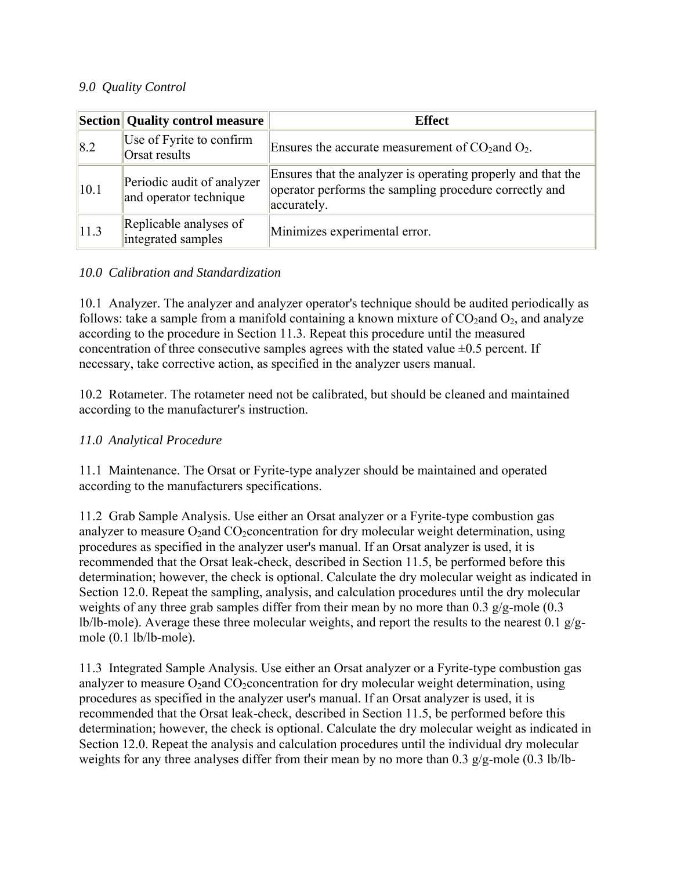## *9.0 Quality Control*

|      | <b>Section</b> Quality control measure               | <b>Effect</b>                                                                                                                         |  |
|------|------------------------------------------------------|---------------------------------------------------------------------------------------------------------------------------------------|--|
| 8.2  | Use of Fyrite to confirm<br>Orsat results            | Ensures the accurate measurement of $CO2$ and $O2$ .                                                                                  |  |
| 10.1 | Periodic audit of analyzer<br>and operator technique | Ensures that the analyzer is operating properly and that the<br>operator performs the sampling procedure correctly and<br>accurately. |  |
| 11.3 | Replicable analyses of<br>integrated samples         | Minimizes experimental error.                                                                                                         |  |

## *10.0 Calibration and Standardization*

10.1 Analyzer. The analyzer and analyzer operator's technique should be audited periodically as follows: take a sample from a manifold containing a known mixture of  $CO_2$  and  $O_2$ , and analyze according to the procedure in Section 11.3. Repeat this procedure until the measured concentration of three consecutive samples agrees with the stated value  $\pm 0.5$  percent. If necessary, take corrective action, as specified in the analyzer users manual.

10.2 Rotameter. The rotameter need not be calibrated, but should be cleaned and maintained according to the manufacturer's instruction.

## *11.0 Analytical Procedure*

11.1 Maintenance. The Orsat or Fyrite-type analyzer should be maintained and operated according to the manufacturers specifications.

11.2 Grab Sample Analysis. Use either an Orsat analyzer or a Fyrite-type combustion gas analyzer to measure  $O_2$ and  $CO_2$ concentration for dry molecular weight determination, using procedures as specified in the analyzer user's manual. If an Orsat analyzer is used, it is recommended that the Orsat leak-check, described in Section 11.5, be performed before this determination; however, the check is optional. Calculate the dry molecular weight as indicated in Section 12.0. Repeat the sampling, analysis, and calculation procedures until the dry molecular weights of any three grab samples differ from their mean by no more than 0.3 g/g-mole (0.3 lb/lb-mole). Average these three molecular weights, and report the results to the nearest 0.1  $g/g$ mole (0.1 lb/lb-mole).

11.3 Integrated Sample Analysis. Use either an Orsat analyzer or a Fyrite-type combustion gas analyzer to measure  $O_2$  and  $CO_2$  concentration for dry molecular weight determination, using procedures as specified in the analyzer user's manual. If an Orsat analyzer is used, it is recommended that the Orsat leak-check, described in Section 11.5, be performed before this determination; however, the check is optional. Calculate the dry molecular weight as indicated in Section 12.0. Repeat the analysis and calculation procedures until the individual dry molecular weights for any three analyses differ from their mean by no more than 0.3 g/g-mole (0.3 lb/lb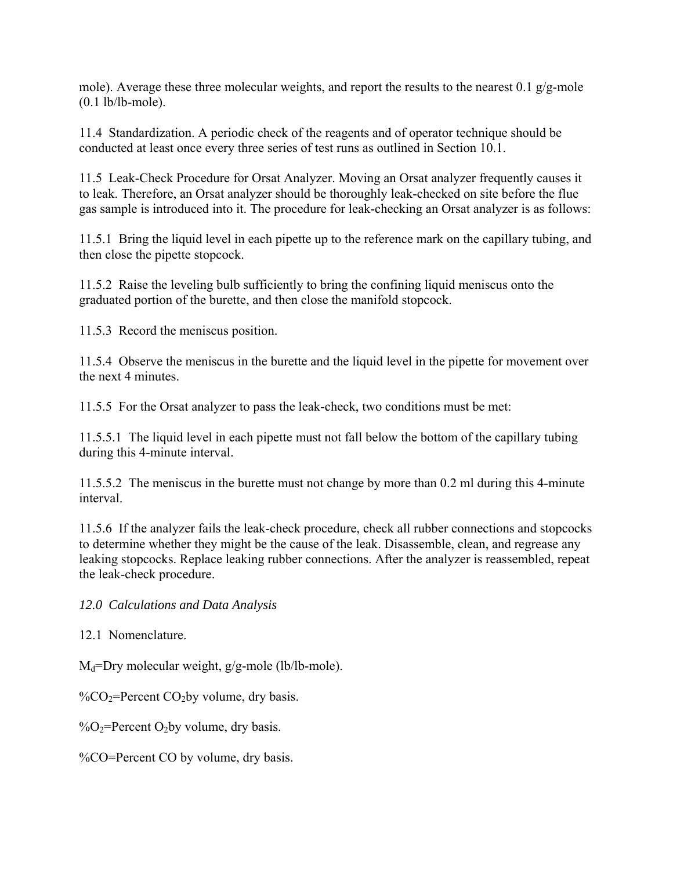mole). Average these three molecular weights, and report the results to the nearest 0.1  $g/g$ -mole (0.1 lb/lb-mole).

11.4 Standardization. A periodic check of the reagents and of operator technique should be conducted at least once every three series of test runs as outlined in Section 10.1.

11.5 Leak-Check Procedure for Orsat Analyzer. Moving an Orsat analyzer frequently causes it to leak. Therefore, an Orsat analyzer should be thoroughly leak-checked on site before the flue gas sample is introduced into it. The procedure for leak-checking an Orsat analyzer is as follows:

11.5.1 Bring the liquid level in each pipette up to the reference mark on the capillary tubing, and then close the pipette stopcock.

11.5.2 Raise the leveling bulb sufficiently to bring the confining liquid meniscus onto the graduated portion of the burette, and then close the manifold stopcock.

11.5.3 Record the meniscus position.

11.5.4 Observe the meniscus in the burette and the liquid level in the pipette for movement over the next 4 minutes.

11.5.5 For the Orsat analyzer to pass the leak-check, two conditions must be met:

11.5.5.1 The liquid level in each pipette must not fall below the bottom of the capillary tubing during this 4-minute interval.

11.5.5.2 The meniscus in the burette must not change by more than 0.2 ml during this 4-minute interval.

11.5.6 If the analyzer fails the leak-check procedure, check all rubber connections and stopcocks to determine whether they might be the cause of the leak. Disassemble, clean, and regrease any leaking stopcocks. Replace leaking rubber connections. After the analyzer is reassembled, repeat the leak-check procedure.

*12.0 Calculations and Data Analysis*

12.1 Nomenclature.

 $M_d$ =Dry molecular weight, g/g-mole (lb/lb-mole).

% $\degree$ CO<sub>2</sub>=Percent CO<sub>2</sub>by volume, dry basis.

 $\%O_2$ =Percent O<sub>2</sub>by volume, dry basis.

%CO=Percent CO by volume, dry basis.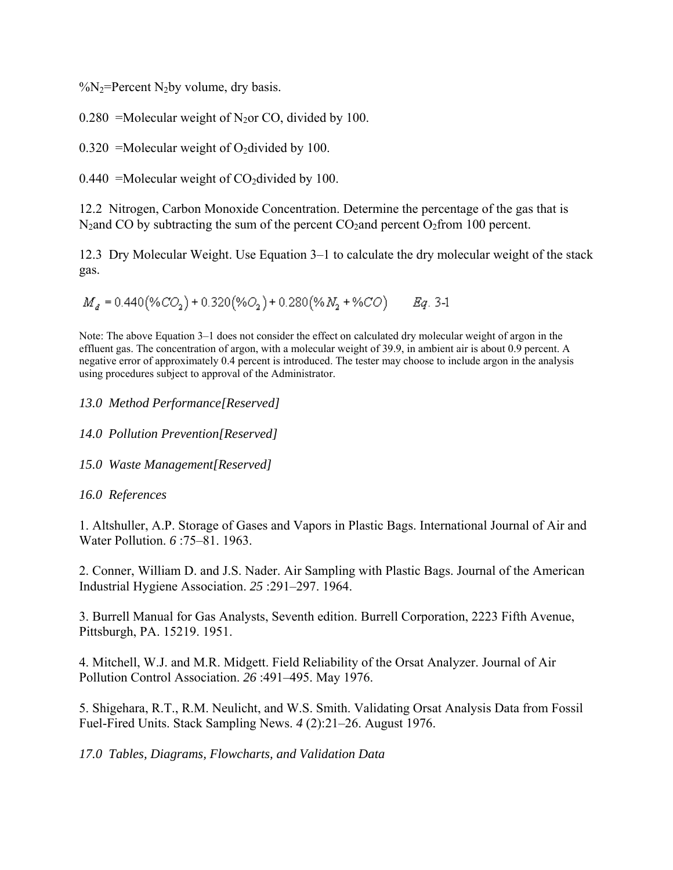$\%$ N<sub>2</sub>=Percent N<sub>2</sub>by volume, dry basis.

0.280 = Molecular weight of N<sub>2</sub>or CO, divided by 100.

0.320 = Molecular weight of O<sub>2</sub> divided by 100.

0.440 = Molecular weight of  $CO_2$  divided by 100.

12.2 Nitrogen, Carbon Monoxide Concentration. Determine the percentage of the gas that is N<sub>2</sub>and CO by subtracting the sum of the percent CO<sub>2</sub> and percent O<sub>2</sub> from 100 percent.

12.3 Dry Molecular Weight. Use Equation 3–1 to calculate the dry molecular weight of the stack gas.

 $M_d = 0.440(\%CO_2) + 0.320(\%O_2) + 0.280(\%N_2 + \%CO)$  Eq. 3-1

Note: The above Equation 3–1 does not consider the effect on calculated dry molecular weight of argon in the effluent gas. The concentration of argon, with a molecular weight of 39.9, in ambient air is about 0.9 percent. A negative error of approximately 0.4 percent is introduced. The tester may choose to include argon in the analysis using procedures subject to approval of the Administrator.

*13.0 Method Performance[Reserved]*

- *14.0 Pollution Prevention[Reserved]*
- *15.0 Waste Management[Reserved]*

#### *16.0 References*

1. Altshuller, A.P. Storage of Gases and Vapors in Plastic Bags. International Journal of Air and Water Pollution. *6* :75–81. 1963.

2. Conner, William D. and J.S. Nader. Air Sampling with Plastic Bags. Journal of the American Industrial Hygiene Association. *25* :291–297. 1964.

3. Burrell Manual for Gas Analysts, Seventh edition. Burrell Corporation, 2223 Fifth Avenue, Pittsburgh, PA. 15219. 1951.

4. Mitchell, W.J. and M.R. Midgett. Field Reliability of the Orsat Analyzer. Journal of Air Pollution Control Association. *26* :491–495. May 1976.

5. Shigehara, R.T., R.M. Neulicht, and W.S. Smith. Validating Orsat Analysis Data from Fossil Fuel-Fired Units. Stack Sampling News. *4* (2):21–26. August 1976.

*17.0 Tables, Diagrams, Flowcharts, and Validation Data*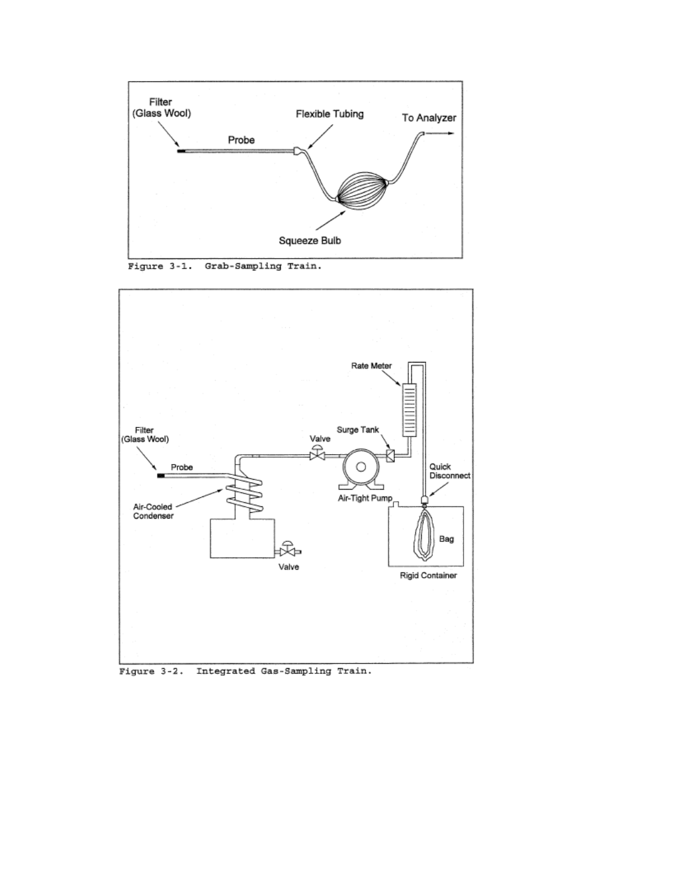

Figure 3-1. Grab-Sampling Train.



Figure 3-2. Integrated Gas-Sampling Train.